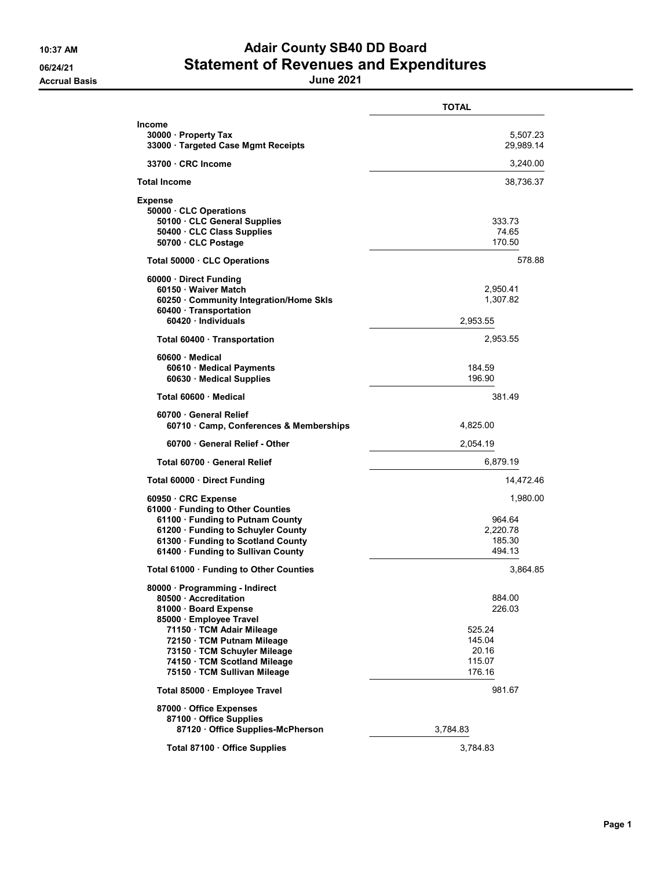## 10:37 AM **Adair County SB40 DD Board** 06/24/21 Statement of Revenues and Expenditures

|                                                                                                                                                                                                              | <b>TOTAL</b>                                       |
|--------------------------------------------------------------------------------------------------------------------------------------------------------------------------------------------------------------|----------------------------------------------------|
| <b>Income</b><br>30000 · Property Tax<br>33000 · Targeted Case Mgmt Receipts                                                                                                                                 | 5,507.23<br>29,989.14                              |
| 33700 CRC Income                                                                                                                                                                                             | 3,240.00                                           |
| <b>Total Income</b>                                                                                                                                                                                          | 38,736.37                                          |
| <b>Expense</b><br>50000 · CLC Operations<br>50100 CLC General Supplies<br>50400 · CLC Class Supplies<br>50700 · CLC Postage                                                                                  | 333.73<br>74.65<br>170.50                          |
| Total 50000 CLC Operations                                                                                                                                                                                   | 578.88                                             |
| 60000 Direct Funding<br>60150 · Waiver Match<br>60250 · Community Integration/Home Skls<br>60400 · Transportation<br>60420 · Individuals                                                                     | 2,950.41<br>1,307.82<br>2,953.55                   |
| Total 60400 · Transportation                                                                                                                                                                                 | 2,953.55                                           |
| 60600 Medical<br>60610 · Medical Payments<br>60630 · Medical Supplies                                                                                                                                        | 184.59<br>196.90                                   |
| Total 60600 · Medical                                                                                                                                                                                        | 381.49                                             |
| 60700 General Relief<br>60710 Camp, Conferences & Memberships                                                                                                                                                | 4,825.00                                           |
| 60700 · General Relief - Other                                                                                                                                                                               | 2,054.19                                           |
| Total 60700 General Relief                                                                                                                                                                                   | 6,879.19                                           |
| Total 60000 · Direct Funding                                                                                                                                                                                 | 14,472.46                                          |
| 60950 CRC Expense<br>61000 · Funding to Other Counties<br>61100 · Funding to Putnam County<br>61200 · Funding to Schuyler County<br>61300 · Funding to Scotland County<br>61400 · Funding to Sullivan County | 1,980.00<br>964.64<br>2,220.78<br>185.30<br>494.13 |
| Total 61000 · Funding to Other Counties                                                                                                                                                                      | 3,864.85                                           |
| 80000 · Programming - Indirect<br>80500 Accreditation<br>81000 · Board Expense<br>85000 · Employee Travel<br>71150 · TCM Adair Mileage<br>72150 · TCM Putnam Mileage                                         | 884.00<br>226.03<br>525.24<br>145.04               |
| 73150 · TCM Schuyler Mileage<br>74150 · TCM Scotland Mileage<br>75150 · TCM Sullivan Mileage                                                                                                                 | 20.16<br>115.07<br>176.16                          |
| Total 85000 · Employee Travel                                                                                                                                                                                | 981.67                                             |
| 87000 Office Expenses<br>87100 Office Supplies<br>87120 Office Supplies-McPherson                                                                                                                            | 3,784.83                                           |
| Total 87100 · Office Supplies                                                                                                                                                                                | 3,784.83                                           |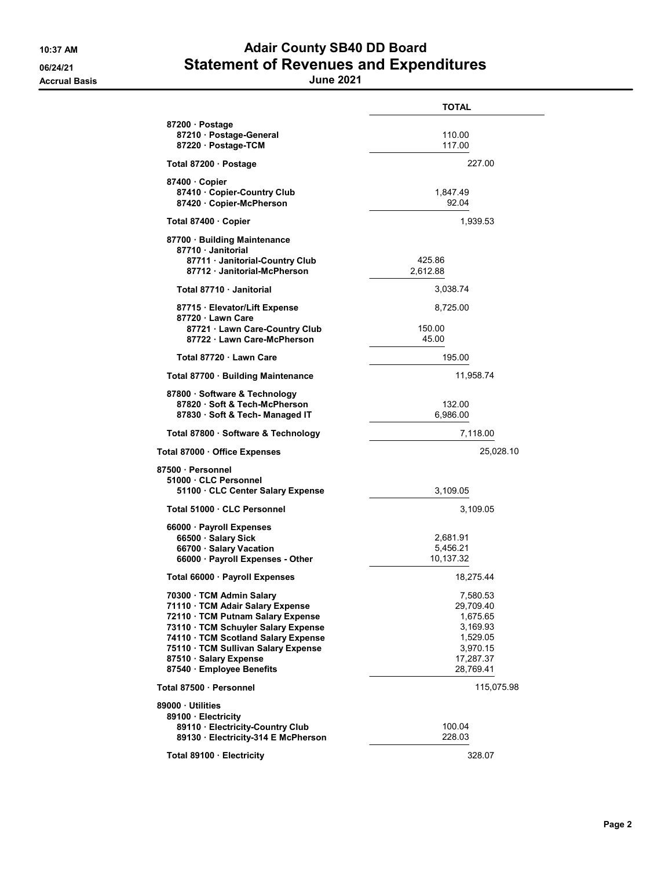## 10:37 AM **Adair County SB40 DD Board** 06/24/21 Statement of Revenues and Expenditures

Accrual Basis June 2021

|                                                                                                                                                                                                                                                                               | <b>TOTAL</b>                                                                                    |
|-------------------------------------------------------------------------------------------------------------------------------------------------------------------------------------------------------------------------------------------------------------------------------|-------------------------------------------------------------------------------------------------|
| 87200 · Postage<br>87210 · Postage-General<br>87220 · Postage-TCM                                                                                                                                                                                                             | 110.00<br>117.00                                                                                |
| Total 87200 · Postage                                                                                                                                                                                                                                                         | 227.00                                                                                          |
| 87400 Copier<br>87410 · Copier-Country Club<br>87420 · Copier-McPherson                                                                                                                                                                                                       | 1,847.49<br>92.04                                                                               |
| Total 87400 Copier                                                                                                                                                                                                                                                            | 1,939.53                                                                                        |
| 87700 · Building Maintenance<br>87710 Janitorial<br>87711 · Janitorial-Country Club<br>87712 Janitorial-McPherson                                                                                                                                                             | 425.86<br>2,612.88                                                                              |
| Total 87710 Janitorial                                                                                                                                                                                                                                                        | 3,038.74                                                                                        |
| 87715 · Elevator/Lift Expense<br>87720 Lawn Care<br>87721 Lawn Care-Country Club                                                                                                                                                                                              | 8,725.00<br>150.00                                                                              |
| 87722 Lawn Care-McPherson                                                                                                                                                                                                                                                     | 45.00                                                                                           |
| Total 87720 · Lawn Care                                                                                                                                                                                                                                                       | 195.00                                                                                          |
| Total 87700 · Building Maintenance                                                                                                                                                                                                                                            | 11,958.74                                                                                       |
| 87800 · Software & Technology<br>87820 · Soft & Tech-McPherson<br>87830 · Soft & Tech- Managed IT                                                                                                                                                                             | 132.00<br>6,986.00                                                                              |
| Total 87800 · Software & Technology                                                                                                                                                                                                                                           | 7,118.00                                                                                        |
| Total 87000 · Office Expenses                                                                                                                                                                                                                                                 | 25,028.10                                                                                       |
| 87500 · Personnel<br>51000 · CLC Personnel<br>51100 · CLC Center Salary Expense                                                                                                                                                                                               | 3,109.05                                                                                        |
| Total 51000 · CLC Personnel                                                                                                                                                                                                                                                   | 3,109.05                                                                                        |
| 66000 · Payroll Expenses<br>66500 · Salary Sick<br>66700 · Salary Vacation<br>66000 · Payroll Expenses - Other                                                                                                                                                                | 2,681.91<br>5,456.21<br>10,137.32                                                               |
| Total 66000 · Payroll Expenses                                                                                                                                                                                                                                                | 18,275.44                                                                                       |
| 70300 · TCM Admin Salary<br>71110 · TCM Adair Salary Expense<br>72110 · TCM Putnam Salary Expense<br>73110 · TCM Schuyler Salary Expense<br>74110 · TCM Scotland Salary Expense<br>75110 · TCM Sullivan Salary Expense<br>87510 · Salary Expense<br>87540 · Employee Benefits | 7,580.53<br>29,709.40<br>1,675.65<br>3,169.93<br>1,529.05<br>3,970.15<br>17,287.37<br>28,769.41 |
| Total 87500 · Personnel                                                                                                                                                                                                                                                       | 115,075.98                                                                                      |
| 89000 Utilities                                                                                                                                                                                                                                                               |                                                                                                 |
| 89100 · Electricity<br>89110 · Electricity-Country Club<br>89130 Electricity-314 E McPherson                                                                                                                                                                                  | 100.04<br>228.03                                                                                |
| Total 89100 Electricity                                                                                                                                                                                                                                                       | 328.07                                                                                          |
|                                                                                                                                                                                                                                                                               |                                                                                                 |